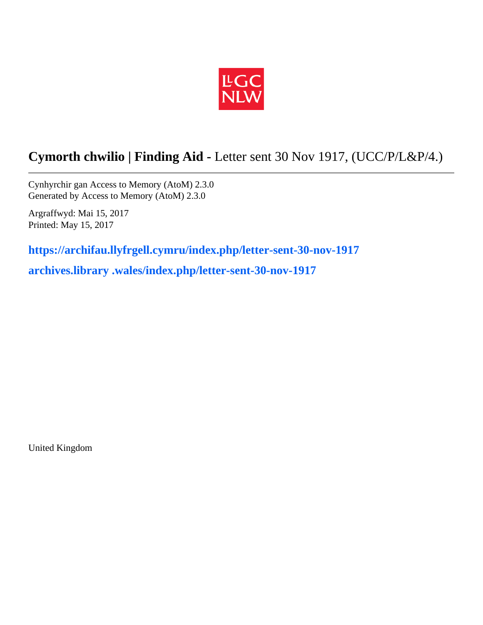

## **Cymorth chwilio | Finding Aid -** Letter sent 30 Nov 1917, (UCC/P/L&P/4.)

Cynhyrchir gan Access to Memory (AtoM) 2.3.0 Generated by Access to Memory (AtoM) 2.3.0

Argraffwyd: Mai 15, 2017 Printed: May 15, 2017

**https://archifau.llyfrgell.cymru/index.php/letter-sent-30-nov-1917**

**archives.library .wales/index.php/letter-sent-30-nov-1917**

United Kingdom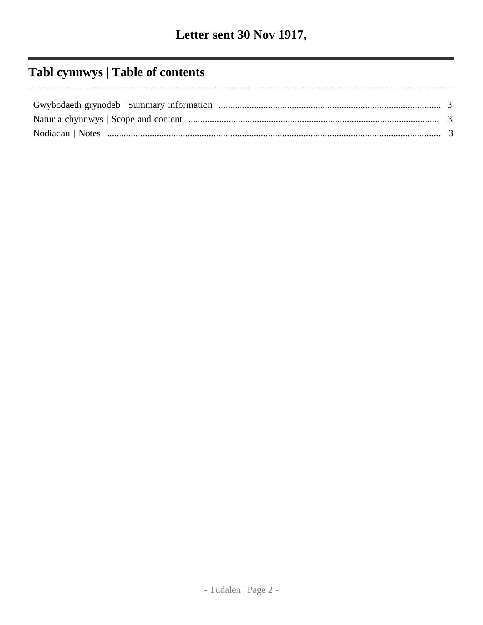# Tabl cynnwys | Table of contents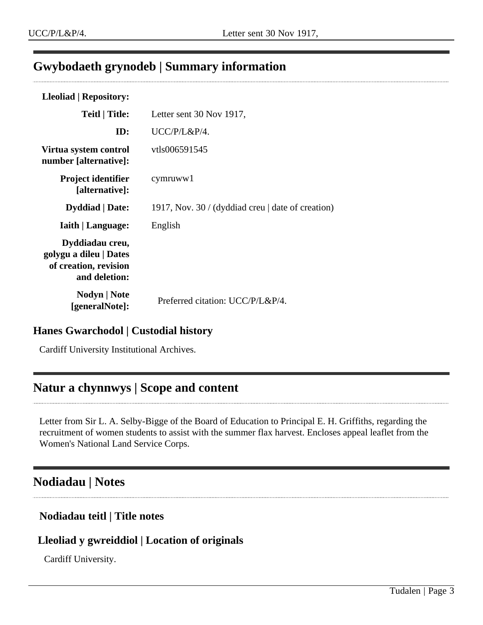## <span id="page-2-0"></span>**Gwybodaeth grynodeb | Summary information**

| Letter sent 30 Nov 1917,                          |
|---------------------------------------------------|
| UCC/P/L&P/4.                                      |
| vtls006591545                                     |
| cymruww1                                          |
| 1917, Nov. 30 / (dyddiad creu   date of creation) |
| English                                           |
|                                                   |
| Preferred citation: UCC/P/L&P/4.                  |
|                                                   |

### **Hanes Gwarchodol | Custodial history**

Cardiff University Institutional Archives.

### <span id="page-2-1"></span>**Natur a chynnwys | Scope and content**

Letter from Sir L. A. Selby-Bigge of the Board of Education to Principal E. H. Griffiths, regarding the recruitment of women students to assist with the summer flax harvest. Encloses appeal leaflet from the Women's National Land Service Corps.

### <span id="page-2-2"></span>**Nodiadau | Notes**

#### **Nodiadau teitl | Title notes**

#### **Lleoliad y gwreiddiol | Location of originals**

Cardiff University.